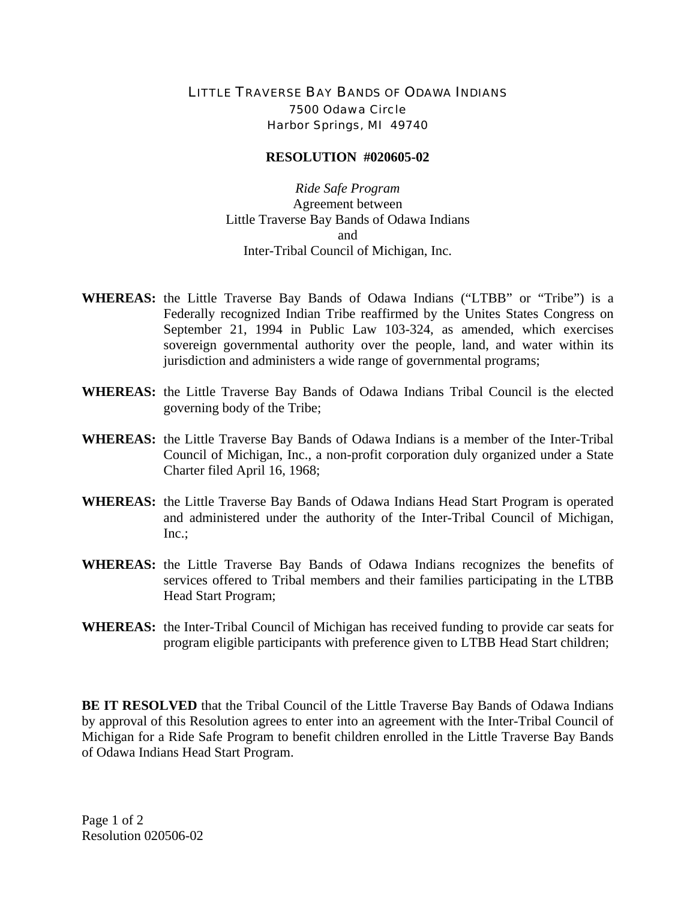## LITTLE TRAVERSE BAY BANDS OF ODAWA INDIANS 7500 Odawa Circle Harbor Springs, MI 49740

## **RESOLUTION #020605-02**

*Ride Safe Program*  Agreement between Little Traverse Bay Bands of Odawa Indians and Inter-Tribal Council of Michigan, Inc.

- **WHEREAS:** the Little Traverse Bay Bands of Odawa Indians ("LTBB" or "Tribe") is a Federally recognized Indian Tribe reaffirmed by the Unites States Congress on September 21, 1994 in Public Law 103-324, as amended, which exercises sovereign governmental authority over the people, land, and water within its jurisdiction and administers a wide range of governmental programs;
- **WHEREAS:** the Little Traverse Bay Bands of Odawa Indians Tribal Council is the elected governing body of the Tribe;
- **WHEREAS:** the Little Traverse Bay Bands of Odawa Indians is a member of the Inter-Tribal Council of Michigan, Inc., a non-profit corporation duly organized under a State Charter filed April 16, 1968;
- **WHEREAS:** the Little Traverse Bay Bands of Odawa Indians Head Start Program is operated and administered under the authority of the Inter-Tribal Council of Michigan, Inc.;
- **WHEREAS:** the Little Traverse Bay Bands of Odawa Indians recognizes the benefits of services offered to Tribal members and their families participating in the LTBB Head Start Program;
- **WHEREAS:** the Inter-Tribal Council of Michigan has received funding to provide car seats for program eligible participants with preference given to LTBB Head Start children;

**BE IT RESOLVED** that the Tribal Council of the Little Traverse Bay Bands of Odawa Indians by approval of this Resolution agrees to enter into an agreement with the Inter-Tribal Council of Michigan for a Ride Safe Program to benefit children enrolled in the Little Traverse Bay Bands of Odawa Indians Head Start Program.